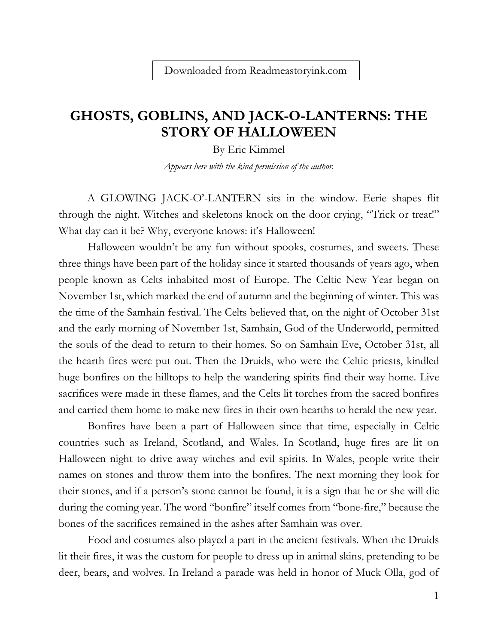## **GHOSTS, GOBLINS, AND JACK-O-LANTERNS: THE STORY OF HALLOWEEN**

By Eric Kimmel

*Appears here with the kind permission of the author.*

A GLOWING JACK-O'-LANTERN sits in the window. Eerie shapes flit through the night. Witches and skeletons knock on the door crying, "Trick or treat!" What day can it be? Why, everyone knows: it's Halloween!

Halloween wouldn't be any fun without spooks, costumes, and sweets. These three things have been part of the holiday since it started thousands of years ago, when people known as Celts inhabited most of Europe. The Celtic New Year began on November 1st, which marked the end of autumn and the beginning of winter. This was the time of the Samhain festival. The Celts believed that, on the night of October 31st and the early morning of November 1st, Samhain, God of the Underworld, permitted the souls of the dead to return to their homes. So on Samhain Eve, October 31st, all the hearth fires were put out. Then the Druids, who were the Celtic priests, kindled huge bonfires on the hilltops to help the wandering spirits find their way home. Live sacrifices were made in these flames, and the Celts lit torches from the sacred bonfires and carried them home to make new fires in their own hearths to herald the new year.

Bonfires have been a part of Halloween since that time, especially in Celtic countries such as Ireland, Scotland, and Wales. In Scotland, huge fires are lit on Halloween night to drive away witches and evil spirits. In Wales, people write their names on stones and throw them into the bonfires. The next morning they look for their stones, and if a person's stone cannot be found, it is a sign that he or she will die during the coming year. The word "bonfire" itself comes from "bone-fire," because the bones of the sacrifices remained in the ashes after Samhain was over.

Food and costumes also played a part in the ancient festivals. When the Druids lit their fires, it was the custom for people to dress up in animal skins, pretending to be deer, bears, and wolves. In Ireland a parade was held in honor of Muck Olla, god of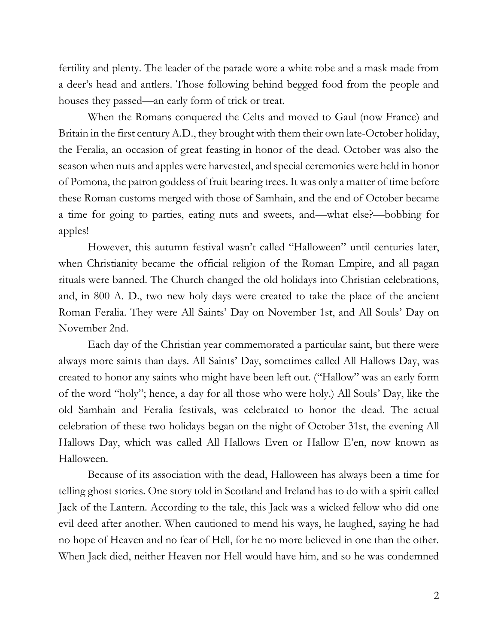fertility and plenty. The leader of the parade wore a white robe and a mask made from a deer's head and antlers. Those following behind begged food from the people and houses they passed—an early form of trick or treat.

When the Romans conquered the Celts and moved to Gaul (now France) and Britain in the first century A.D., they brought with them their own late-October holiday, the Feralia, an occasion of great feasting in honor of the dead. October was also the season when nuts and apples were harvested, and special ceremonies were held in honor of Pomona, the patron goddess of fruit bearing trees. It was only a matter of time before these Roman customs merged with those of Samhain, and the end of October became a time for going to parties, eating nuts and sweets, and—what else?—bobbing for apples!

However, this autumn festival wasn't called "Halloween" until centuries later, when Christianity became the official religion of the Roman Empire, and all pagan rituals were banned. The Church changed the old holidays into Christian celebrations, and, in 800 A. D., two new holy days were created to take the place of the ancient Roman Feralia. They were All Saints' Day on November 1st, and All Souls' Day on November 2nd.

Each day of the Christian year commemorated a particular saint, but there were always more saints than days. All Saints' Day, sometimes called All Hallows Day, was created to honor any saints who might have been left out. ("Hallow" was an early form of the word "holy"; hence, a day for all those who were holy.) All Souls' Day, like the old Samhain and Feralia festivals, was celebrated to honor the dead. The actual celebration of these two holidays began on the night of October 31st, the evening All Hallows Day, which was called All Hallows Even or Hallow E'en, now known as Halloween.

Because of its association with the dead, Halloween has always been a time for telling ghost stories. One story told in Scotland and Ireland has to do with a spirit called Jack of the Lantern. According to the tale, this Jack was a wicked fellow who did one evil deed after another. When cautioned to mend his ways, he laughed, saying he had no hope of Heaven and no fear of Hell, for he no more believed in one than the other. When Jack died, neither Heaven nor Hell would have him, and so he was condemned